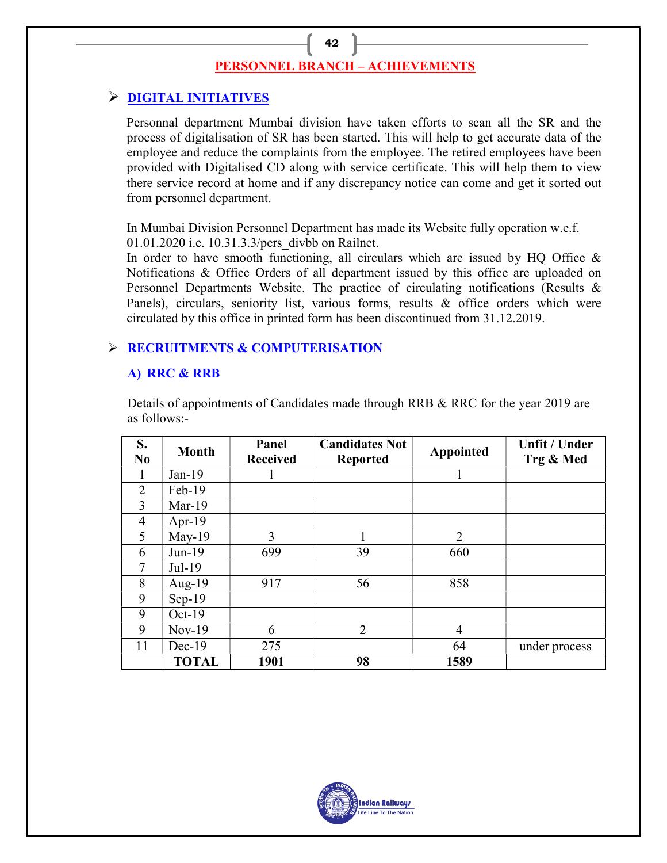# PERSONNEL BRANCH – ACHIEVEMENTS

42

# **P DIGITAL INITIATIVES**

Personnal department Mumbai division have taken efforts to scan all the SR and the process of digitalisation of SR has been started. This will help to get accurate data of the employee and reduce the complaints from the employee. The retired employees have been provided with Digitalised CD along with service certificate. This will help them to view there service record at home and if any discrepancy notice can come and get it sorted out from personnel department.

In Mumbai Division Personnel Department has made its Website fully operation w.e.f. 01.01.2020 i.e. 10.31.3.3/pers\_divbb on Railnet.

In order to have smooth functioning, all circulars which are issued by HQ Office  $\&$ Notifications & Office Orders of all department issued by this office are uploaded on Personnel Departments Website. The practice of circulating notifications (Results & Panels), circulars, seniority list, various forms, results & office orders which were circulated by this office in printed form has been discontinued from 31.12.2019.

## **EXECRUITMENTS & COMPUTERISATION**

#### A) RRC & RRB

Details of appointments of Candidates made through RRB & RRC for the year 2019 are as follows:-

| S.<br>N <sub>0</sub> | <b>Month</b> | Panel<br><b>Received</b> | <b>Candidates Not</b><br><b>Reported</b> | Appointed      | <b>Unfit / Under</b><br>Trg & Med |
|----------------------|--------------|--------------------------|------------------------------------------|----------------|-----------------------------------|
| 1                    | $Jan-19$     |                          |                                          |                |                                   |
| $\overline{2}$       | Feb-19       |                          |                                          |                |                                   |
| 3                    | $Mar-19$     |                          |                                          |                |                                   |
| $\overline{4}$       | Apr-19       |                          |                                          |                |                                   |
| 5                    | $May-19$     | 3                        |                                          | $\overline{2}$ |                                   |
| 6                    | Jun-19       | 699                      | 39                                       | 660            |                                   |
| $\overline{7}$       | Jul-19       |                          |                                          |                |                                   |
| 8                    | Aug- $19$    | 917                      | 56                                       | 858            |                                   |
| 9                    | $Sep-19$     |                          |                                          |                |                                   |
| 9                    | $Oct-19$     |                          |                                          |                |                                   |
| 9                    | $Nov-19$     | 6                        | $\overline{2}$                           | $\overline{4}$ |                                   |
| 11                   | $Dec-19$     | 275                      |                                          | 64             | under process                     |
|                      | <b>TOTAL</b> | 1901                     | 98                                       | 1589           |                                   |

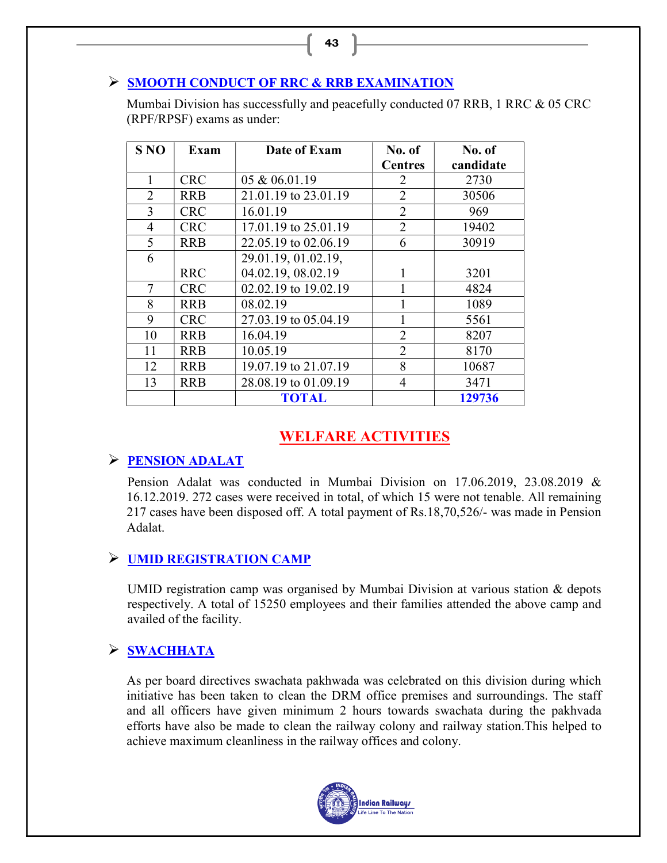#### SMOOTH CONDUCT OF RRC & RRB EXAMINATION

Mumbai Division has successfully and peacefully conducted 07 RRB, 1 RRC & 05 CRC (RPF/RPSF) exams as under:

| <b>S NO</b>    | <b>Exam</b> | Date of Exam         | No. of         | No. of    |
|----------------|-------------|----------------------|----------------|-----------|
|                |             |                      | <b>Centres</b> | candidate |
| 1              | <b>CRC</b>  | 05 & 06.01.19        | 2              | 2730      |
| $\overline{2}$ | <b>RRB</b>  | 21.01.19 to 23.01.19 | $\overline{2}$ | 30506     |
| 3              | <b>CRC</b>  | 16.01.19             | $\overline{2}$ | 969       |
| $\overline{4}$ | <b>CRC</b>  | 17.01.19 to 25.01.19 | $\overline{2}$ | 19402     |
| 5              | <b>RRB</b>  | 22.05.19 to 02.06.19 | 6              | 30919     |
| 6              |             | 29.01.19, 01.02.19,  |                |           |
|                | <b>RRC</b>  | 04.02.19, 08.02.19   | 1              | 3201      |
| 7              | <b>CRC</b>  | 02.02.19 to 19.02.19 |                | 4824      |
| 8              | <b>RRB</b>  | 08.02.19             |                | 1089      |
| 9              | <b>CRC</b>  | 27.03.19 to 05.04.19 |                | 5561      |
| 10             | <b>RRB</b>  | 16.04.19             | $\overline{2}$ | 8207      |
| 11             | <b>RRB</b>  | 10.05.19             | $\overline{2}$ | 8170      |
| 12             | <b>RRB</b>  | 19.07.19 to 21.07.19 | 8              | 10687     |
| 13             | <b>RRB</b>  | 28.08.19 to 01.09.19 | $\overline{4}$ | 3471      |
|                |             | <b>TOTAL</b>         |                | 129736    |

# WELFARE ACTIVITIES

#### $\triangleright$  PENSION ADALAT

 Pension Adalat was conducted in Mumbai Division on 17.06.2019, 23.08.2019 & 16.12.2019. 272 cases were received in total, of which 15 were not tenable. All remaining 217 cases have been disposed off. A total payment of Rs.18,70,526/- was made in Pension Adalat.

# UMID REGISTRATION CAMP

UMID registration camp was organised by Mumbai Division at various station & depots respectively. A total of 15250 employees and their families attended the above camp and availed of the facility.

# > SWACHHATA

As per board directives swachata pakhwada was celebrated on this division during which initiative has been taken to clean the DRM office premises and surroundings. The staff and all officers have given minimum 2 hours towards swachata during the pakhvada efforts have also be made to clean the railway colony and railway station.This helped to achieve maximum cleanliness in the railway offices and colony.



43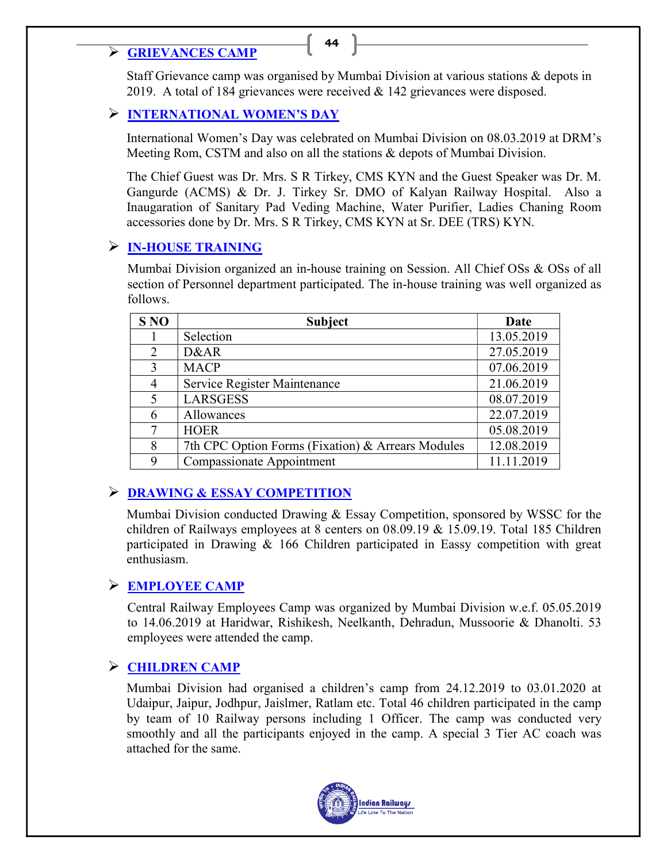# **EXECUTE CAMP** 44

Staff Grievance camp was organised by Mumbai Division at various stations & depots in 2019. A total of 184 grievances were received & 142 grievances were disposed.

## INTERNATIONAL WOMEN'S DAY

International Women's Day was celebrated on Mumbai Division on 08.03.2019 at DRM's Meeting Rom, CSTM and also on all the stations & depots of Mumbai Division.

The Chief Guest was Dr. Mrs. S R Tirkey, CMS KYN and the Guest Speaker was Dr. M. Gangurde (ACMS) & Dr. J. Tirkey Sr. DMO of Kalyan Railway Hospital. Also a Inaugaration of Sanitary Pad Veding Machine, Water Purifier, Ladies Chaning Room accessories done by Dr. Mrs. S R Tirkey, CMS KYN at Sr. DEE (TRS) KYN.

## $\triangleright$  IN-HOUSE TRAINING

Mumbai Division organized an in-house training on Session. All Chief OSs & OSs of all section of Personnel department participated. The in-house training was well organized as follows.

| <b>S NO</b> | <b>Subject</b>                                    | Date       |
|-------------|---------------------------------------------------|------------|
|             | Selection                                         | 13.05.2019 |
| 2           | D&AR                                              | 27.05.2019 |
| 3           | <b>MACP</b>                                       | 07.06.2019 |
| 4           | Service Register Maintenance                      | 21.06.2019 |
| 5           | <b>LARSGESS</b>                                   | 08.07.2019 |
| 6           | Allowances                                        | 22.07.2019 |
| 7           | <b>HOER</b>                                       | 05.08.2019 |
| 8           | 7th CPC Option Forms (Fixation) & Arrears Modules | 12.08.2019 |
| 9           | Compassionate Appointment                         | 11.11.2019 |

# **EXAMING & ESSAY COMPETITION**

Mumbai Division conducted Drawing & Essay Competition, sponsored by WSSC for the children of Railways employees at 8 centers on 08.09.19 & 15.09.19. Total 185 Children participated in Drawing & 166 Children participated in Eassy competition with great enthusiasm.

# EMPLOYEE CAMP

Central Railway Employees Camp was organized by Mumbai Division w.e.f. 05.05.2019 to 14.06.2019 at Haridwar, Rishikesh, Neelkanth, Dehradun, Mussoorie & Dhanolti. 53 employees were attended the camp.

# CHILDREN CAMP

Mumbai Division had organised a children's camp from 24.12.2019 to 03.01.2020 at Udaipur, Jaipur, Jodhpur, Jaislmer, Ratlam etc. Total 46 children participated in the camp by team of 10 Railway persons including 1 Officer. The camp was conducted very smoothly and all the participants enjoyed in the camp. A special 3 Tier AC coach was attached for the same.